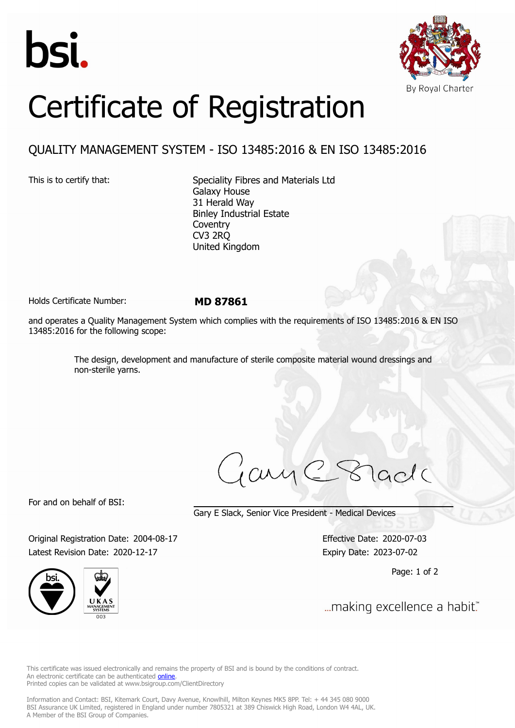



## Certificate of Registration

## QUALITY MANAGEMENT SYSTEM - ISO 13485:2016 & EN ISO 13485:2016

This is to certify that: Speciality Fibres and Materials Ltd Galaxy House 31 Herald Way Binley Industrial Estate **Coventry** CV3 2RQ United Kingdom

Holds Certificate Number: **MD 87861**

and operates a Quality Management System which complies with the requirements of ISO 13485:2016 & EN ISO 13485:2016 for the following scope:

> The design, development and manufacture of sterile composite material wound dressings and non-sterile yarns.

For and on behalf of BSI:

Gary E Slack, Senior Vice President - Medical Devices

Original Registration Date: 2004-08-17 Effective Date: 2020-07-03 Latest Revision Date: 2020-12-17 Expiry Date: 2023-07-02





Page: 1 of 2

... making excellence a habit."

This certificate was issued electronically and remains the property of BSI and is bound by the conditions of contract. An electronic certificate can be authenticated **[online](https://pgplus.bsigroup.com/CertificateValidation/CertificateValidator.aspx?CertificateNumber=MD+87861&ReIssueDate=17%2f12%2f2020&Template=uk)**. Printed copies can be validated at www.bsigroup.com/ClientDirectory

Information and Contact: BSI, Kitemark Court, Davy Avenue, Knowlhill, Milton Keynes MK5 8PP. Tel: + 44 345 080 9000 BSI Assurance UK Limited, registered in England under number 7805321 at 389 Chiswick High Road, London W4 4AL, UK. A Member of the BSI Group of Companies.